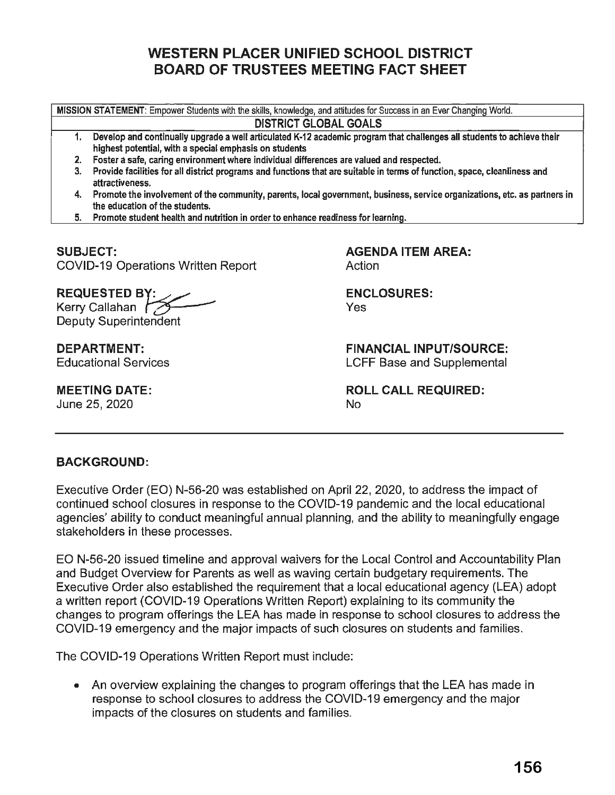# **WESTERN PLACER UNIFIED SCHOOL DISTRICT BOARD OF TRUSTEES MEETING FACT SHEET**

**MISSION STATEMENT:** Empower Students with the skills, knowledge, and attitudes for Success in an Ever Changing World.

#### **DISTRICT GLOBAL GOALS**

- 1. Develop and continually upgrade a well articulated K-12 academic program that challenges all students to achieve their highest potential, with a special emphasis on students
- 2. Foster a safe, caring environment where individual differences are valued and respected.
- 3. Provide facilities for all district programs and functions that are suitable in terms of function, space, cleanliness and attractiveness.
- 4. Promote the involvement of the community, parents, local government, business, service organizations, etc. as partners in the education of the students.
- 5. Promote student health and nutrition in order to enhance readiness for learning.

**SUBJECT:**  COVID-19 Operations Written Report

**AGENDA ITEM AREA:**  Action

**ENCLOSURES:**  Yes

> **FINANCIAL INPUT/SOURCE:**  LCFF Base and Supplemental

**ROLL CALL REQUIRED:**  No

## REQUESTED BY: Kerry Callahan *r* Deputy Superintendent

**DEPARTMENT:**  Educational Services

**MEETING DATE:**  June 25, 2020

### **BACKGROUND:**

Executive Order (EO) N-56-20 was established on April 22, 2020, to address the impact of continued school closures in response to the COVID-19 pandemic and the local educational agencies' ability to conduct meaningful annual planning, and the ability to meaningfully engage stakeholders in these processes.

EO N-56-20 issued timeline and approval waivers for the Local Control and Accountability Plan and Budget Overview for Parents as well as waving certain budgetary requirements. The Executive Order also established the requirement that a local educational agency (LEA) adopt a written report (COVID-19 Operations Written Report) explaining to its community the changes to program offerings the LEA has made in response to school closures to address the COVID-19 emergency and the major impacts of such closures on students and families.

The COVID-19 Operations Written Report must include:

• An overview explaining the changes to program offerings that the LEA has made in response to school closures to address the COVID-19 emergency and the major impacts of the closures on students and families.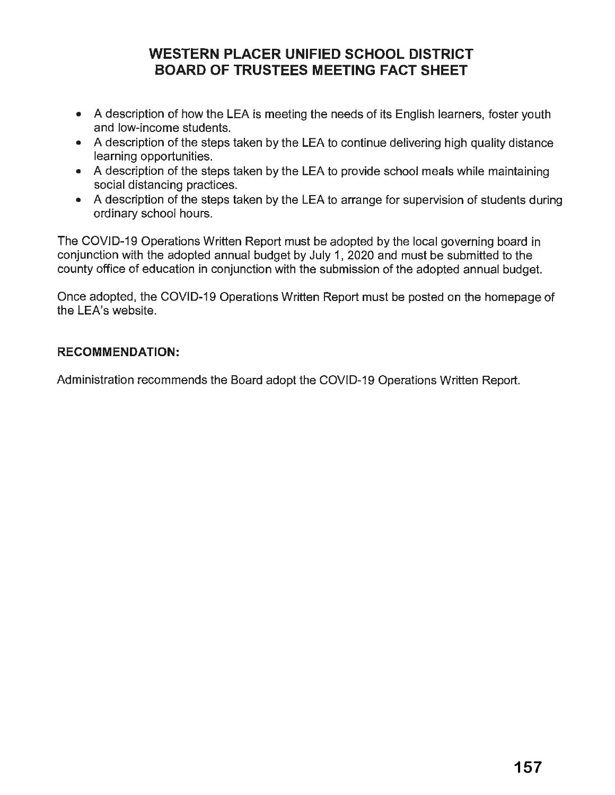# **WESTERN PLACER UNIFIED SCHOOL DISTRICT BOARD OF TRUSTEES MEETING FACT SHEET**

- A description of how the LEA is meeting the needs of its English learners, foster youth and low-income students.
- A description of the steps taken by the LEA to continue delivering high quality distance learning opportunities.
- A description of the steps taken by the LEA to provide school meals while maintaining social distancing practices.
- A description of the steps taken by the LEA to arrange for supervision of students during ordinary school hours.

The COVID-19 Operations Written Report must be adopted by the local governing board in conjunction with the adopted annual budget by July 1, 2020 and must be submitted to the county office of education in conjunction with the submission of the adopted annual budget.

Once adopted, the COVID-19 Operations Written Report must be posted on the homepage of the LEA's website.

#### **RECOMMENDATION:**

Administration recommends the Board adopt the COVID-19 Operations Written Report.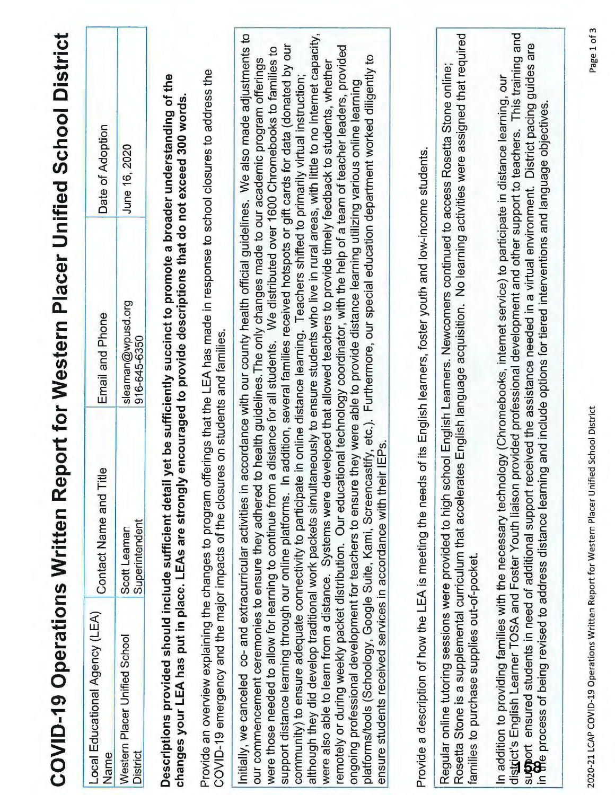|                                                                                                                                                                                                                                                      |                                | COVID-19 Operations Written Report for Western Placer Unified School District                                                                                                                                                                                                                                                                                                                                                                                                                                                                                                                                                                                                                                                                                                                                                                                                                                                                                                                                                                                                                                                                                                                                                                                                           |                  |
|------------------------------------------------------------------------------------------------------------------------------------------------------------------------------------------------------------------------------------------------------|--------------------------------|-----------------------------------------------------------------------------------------------------------------------------------------------------------------------------------------------------------------------------------------------------------------------------------------------------------------------------------------------------------------------------------------------------------------------------------------------------------------------------------------------------------------------------------------------------------------------------------------------------------------------------------------------------------------------------------------------------------------------------------------------------------------------------------------------------------------------------------------------------------------------------------------------------------------------------------------------------------------------------------------------------------------------------------------------------------------------------------------------------------------------------------------------------------------------------------------------------------------------------------------------------------------------------------------|------------------|
| Local Educational Agency (LEA)<br>Name                                                                                                                                                                                                               | Contact Name and Title         | Email and Phone                                                                                                                                                                                                                                                                                                                                                                                                                                                                                                                                                                                                                                                                                                                                                                                                                                                                                                                                                                                                                                                                                                                                                                                                                                                                         | Date of Adoption |
| Western Placer Unified School<br><b>District</b>                                                                                                                                                                                                     | Superintendent<br>Scott Leaman | sleaman@wpusd.org<br>916-645-6350                                                                                                                                                                                                                                                                                                                                                                                                                                                                                                                                                                                                                                                                                                                                                                                                                                                                                                                                                                                                                                                                                                                                                                                                                                                       | June 16, 2020    |
| Descriptions provided should include sufficient detail y<br>changes your LEA has put in place. LEAs are strongly                                                                                                                                     |                                | Provide an overview explaining the changes to program offerings that the LEA has made in response to school closures to address the<br>et be sufficiently succinct to promote a broader understanding of the<br>encouraged to provide descriptions that do not exceed 300 words.                                                                                                                                                                                                                                                                                                                                                                                                                                                                                                                                                                                                                                                                                                                                                                                                                                                                                                                                                                                                        |                  |
| COVID-19 emergency and the major impacts of the closure                                                                                                                                                                                              |                                | s on students and families.                                                                                                                                                                                                                                                                                                                                                                                                                                                                                                                                                                                                                                                                                                                                                                                                                                                                                                                                                                                                                                                                                                                                                                                                                                                             |                  |
| ensure students received services in accordance with their IEPs.<br>our commencement ceremonies to ensure they adhered to<br>were those needed to allow for learning to continue from a<br>community) to ensure adequate connectivity to participate |                                | although they did develop traditional work packets simultaneously to ensure students who live in rural areas, with little to no internet capacity,<br>Initially, we canceled co- and extracurricular activities in accordance with our county health official guidelines. We also made adjustments to<br>support distance learning through our online platforms. In addition, several families received hotspots or gift cards for data (donated by our<br>remotely or during weekly packet distribution. Our educational technology coordinator, with the help of a team of teacher leaders, provided<br>distance for all students. We distributed over 1600 Chromebooks to families to<br>platforms/tools (Schoology, Google Suite, Kami, Screencastify, etc.). Furthermore, our special education department worked diligently to<br>health guidelines. The only changes made to our academic program offerings<br>were also able to learn from a distance. Systems were developed that allowed teachers to provide timely feedback to students, whether<br>in online distance learning. Teachers shifted to primarily virtual instruction;<br>ongoing professional development for teachers to ensure they were able to provide distance learning utilizing various online learning |                  |
| Provide a description of how the LEA is meeting the needs                                                                                                                                                                                            |                                | of its English learners, foster youth and low-income students.                                                                                                                                                                                                                                                                                                                                                                                                                                                                                                                                                                                                                                                                                                                                                                                                                                                                                                                                                                                                                                                                                                                                                                                                                          |                  |
| families to purchase supplies out-of-pocket.                                                                                                                                                                                                         |                                | Rosetta Stone is a supplemental curriculum that accelerates English language acquisition. No learning activities were assigned that required<br>Regular online tutoring sessions were provided to high school English Learners. Newcomers continued to access Rosetta Stone online;                                                                                                                                                                                                                                                                                                                                                                                                                                                                                                                                                                                                                                                                                                                                                                                                                                                                                                                                                                                                     |                  |
|                                                                                                                                                                                                                                                      |                                | district's English Learner TOSA and Foster Youth liaison provided professional development and other support to teachers. This training and<br>support ensured students in need of additional support received the assistance needed in a virtual environment. District pacing guides are<br>in <b>M</b> e process of being revised to address distance learning and include options f<br>In addition to providing families with the necessary technology (Chromebooks, internet service) to participate in distance learning, our                                                                                                                                                                                                                                                                                                                                                                                                                                                                                                                                                                                                                                                                                                                                                      |                  |
|                                                                                                                                                                                                                                                      |                                |                                                                                                                                                                                                                                                                                                                                                                                                                                                                                                                                                                                                                                                                                                                                                                                                                                                                                                                                                                                                                                                                                                                                                                                                                                                                                         |                  |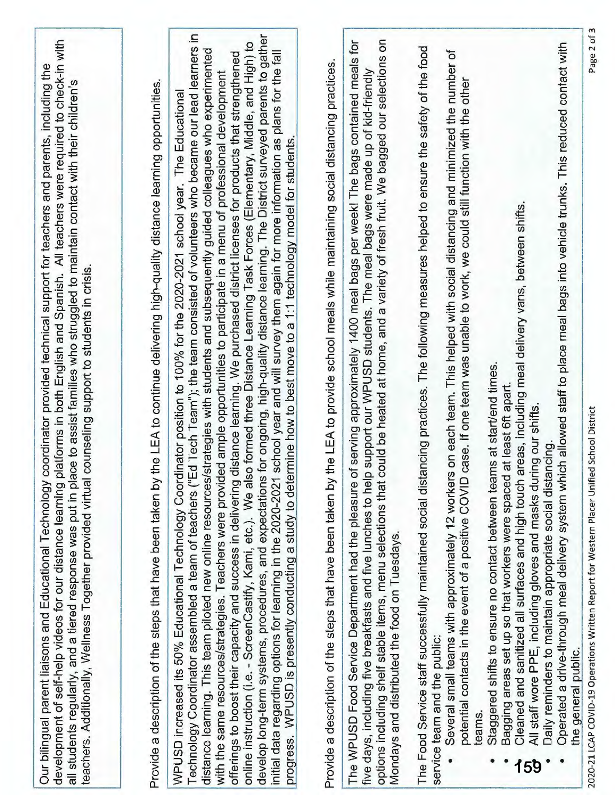| development of self-help videos for our distance learning platforms in both English and Spanish. All teachers were required to check-in with<br>coordinator provided technical support for teachers and parents, including the<br>all students regularly, and a tiered response was put in place to assist families who struggled to maintain contact with their children's<br>teachers. Additionally, Wellness Together provided virtual counseling support to students in crisis.<br>Our bilingual parent liaisons and Educational Technology | the LEA to continue delivering high-quality distance learning opportunities.<br>Provide a description of the steps that have been taken by | Technology Coordinator assembled a team of teachers ("Ed Tech Team"); the team consisted of volunteers who became our lead learners in<br>for ongoing, high-quality distance learning. The District surveyed parents to gather<br>online instruction (i.e. - ScreenCastify, Kami, etc.). We also formed three Distance Learning Task Forces (Elementary, Middle, and High) to<br>distance learning. This team piloted new online resources/strategies with students and subsequently guided colleagues who experimented<br>school year and will survey them again for more information as plans for the fall<br>distance learning. We purchased district licenses for products that strengthened<br>with the same resources/strategies. Teachers were provided ample opportunities to participate in a menu of professional development<br>WPUSD increased its 50% Educational Technology Coordinator position to 100% for the 2020-2021 school year. The Educational<br>progress. WPUSD is presently conducting a study to determine how to best move to a 1:1 technology model for students<br>develop long-term systems, procedures, and expectations<br>initial data regarding options for learning in the 2020-2021<br>offerings to boost their capacity and success in delivering | Provide a description of the steps that have been taken by the LEA to provide school meals while maintaining social distancing practices. | options including shelf stable items, menu selections that could be heated at home, and a variety of fresh fruit. We bagged our selections on<br>tor<br>of serving approximately 1400 meal bags per week! The bags contained meals<br>five days, including five breakfasts and five lunches to help support our WPUSD students. The meal bags were made up of kid-friendly<br>The WPUSD Food Service Department had the pleasure<br>Mondays and distributed the food on Tuesdays | The Food Service staff successfully maintained social distancing practices. The following measures helped to ensure the safety of the food<br>Several small teams with approximately 12 workers on each team. This helped with social distancing and minimized the number of<br>case. If one team was unable to work, we could still function with the other<br>potential contacts in the event of a positive COVID<br>service team and the public:<br>teams. | Operated a drive-through meal delivery system which allowed staff to place meal bags into vehicle trunks. This reduced contact with<br>areas, including meal delivery vans, between shifts.<br>Staggered shifts to ensure no contact between teams at start/end times.<br>Bagging areas set up so that workers were spaced at least 6ft apart.<br>All staff wore PPE, including gloves and masks during our shifts.<br>Daily reminders to maintain appropriate social distancing.<br>Cleaned and sanitized all surfaces and high touch<br>the general public.<br>159 | Page 2 of 3<br>2020-21 LCAP COVID-19 Operations Written Report for Western Placer Unified School District |
|-------------------------------------------------------------------------------------------------------------------------------------------------------------------------------------------------------------------------------------------------------------------------------------------------------------------------------------------------------------------------------------------------------------------------------------------------------------------------------------------------------------------------------------------------|--------------------------------------------------------------------------------------------------------------------------------------------|-----------------------------------------------------------------------------------------------------------------------------------------------------------------------------------------------------------------------------------------------------------------------------------------------------------------------------------------------------------------------------------------------------------------------------------------------------------------------------------------------------------------------------------------------------------------------------------------------------------------------------------------------------------------------------------------------------------------------------------------------------------------------------------------------------------------------------------------------------------------------------------------------------------------------------------------------------------------------------------------------------------------------------------------------------------------------------------------------------------------------------------------------------------------------------------------------------------------------------------------------------------------------------------------|-------------------------------------------------------------------------------------------------------------------------------------------|----------------------------------------------------------------------------------------------------------------------------------------------------------------------------------------------------------------------------------------------------------------------------------------------------------------------------------------------------------------------------------------------------------------------------------------------------------------------------------|---------------------------------------------------------------------------------------------------------------------------------------------------------------------------------------------------------------------------------------------------------------------------------------------------------------------------------------------------------------------------------------------------------------------------------------------------------------|----------------------------------------------------------------------------------------------------------------------------------------------------------------------------------------------------------------------------------------------------------------------------------------------------------------------------------------------------------------------------------------------------------------------------------------------------------------------------------------------------------------------------------------------------------------------|-----------------------------------------------------------------------------------------------------------|

m